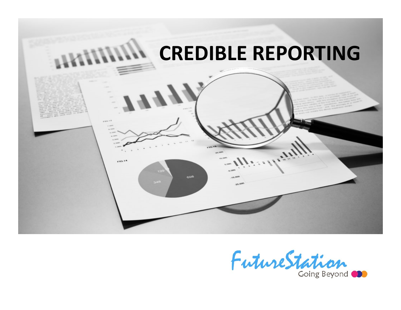

FutureStation Going Beyond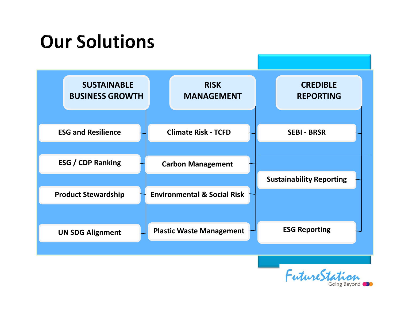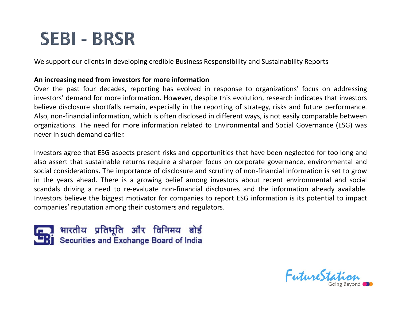# An increasing need from investors for more information

SEBI – BRSR<br>We support our clients in developing credible Business Responsibility and Sustainability Reports<br>An increasing need from investors for more information<br>Over the past four decades, reporting has evolved in respo **SEBI – BRSR**<br>We support our clients in developing credible Business Responsibility and Sustainability Reports<br>An increasing need from investors for more information<br>Over the past four decades, reporting has evolved in res **SEBI - BRSR**<br>We support our clients in developing credible Business Responsibility and Sustainability Reports<br>An increasing need from investors for more information<br>Over the past four decades, reporting has evolved in res SEBI – BRSR<br>An increasing need from investors for more information<br>An increasing need from investors for more information<br>Over the past four decades, reporting has evolved in response to organizations' focus on addressing<br> SEBI – BRSR<br>We support our clients in developing credible Business Responsibility and Sustainability Reports<br>An increasing need from investors for more information<br>Over the past four decades, reporting has evolved in respo **SEBI – BRSR**<br>We support our clients in developing credible Business Responsibility and Sustainability Reports<br>An increasing need from investors for more information<br>Over the past four decades, reporting has evolved in res **SEBI – BRSR**<br>We support our clients in developing credible Business Responsibility and Su:<br>An increasing need from investors for more information<br>Over the past four decades, reporting has evolved in response to orga<br>inves **SEBI – BRSNE**<br>We support our clients in developing credible Business Responsibility and Sustainability Reports<br>An increasing need from investors for more information<br>Over the past four decades, reporting has evolved in re

Investors agree that ESG aspects present risks and opportunities that have been neglected for too long and **Example 1980**<br>
Social consideration and the interation of the past for more information<br>
Over the past four decades, reporting has evolved in response to organizations' focus on addressing<br>
investors' demand for more info We support our clients in developing credible Business Responsibility and Sustainability Reports<br>An increasing need from investors for more information<br>Over the past four decades, reporting has evolved in response to organ We support out clients in developing deducte business wesponsionity and stadinability reports<br> **An increasing need from investors for more information**<br>
Over the past four decades, reporting has evolved in response to orga An increasing need from investors for more information<br>Over the past four decades, reporting has evolved in response to organizations' focus on addressing<br>investors' demand for more information. However, despite this evol **Examinesizy recell that increases are not incrementation**<br> **Example 19.4** The past four decades, reporting has evolved in response to organizations' focus on address<br>
investors' demand for more information. However, desp



FutureStati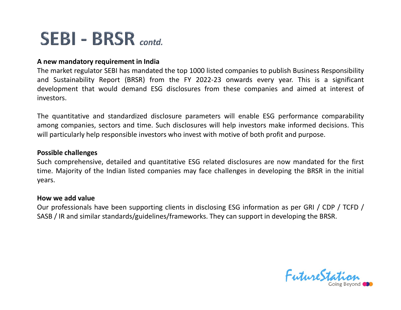**SEBI – BRSR** contd.<br>A new mandatory requirement in India<br>The market regulator SEBI has mandated the top 1000 listed companies to publish Busin<br>and Sustainability Report (BRSR) from the FY 2022-23 onwards every year. This<br> SEBI – BRSR contd.<br>A new mandatory requirement in India<br>The market regulator SEBI has mandated the top 1000 listed companies to publish Business Responsibility<br>and Sustainability Report (BRSR) from the FY 2022-23 onwards e SEBI – BRSR contd.<br>
A new mandatory requirement in India<br>
The market regulator SEBI has mandated the top 1000 listed companies to publish Business Responsibility<br>
and Sustainability Report (BRSR) from the FY 2022-23 onward SEBI - BRSR contd.<br>A new mandatory requirement in India<br>The market regulator SEBI has mandated the top 1000 listed companies to publish Business Responsibility<br>and Sustainability Report (BRSR) from the FY 2022-23 onwards e investors. **SEBI - BRSR** contd.<br> **Anew mandatory requirement in India**<br>
The market regulator SEBI has mandated the top 1000 listed companies to publish Business Responsibility<br>
and Sustainability Report (BRSR) from the FY 2022-23 onw **SEBI – BRSR** contd.<br> **Anew mandatory requirement in India**<br>
The market regulator SEBI has mandated the top 1000 listed companies to publish Business Responsibility<br>
and Sustainability Report (BRSR) from the FY 2022-23 onw **SEBI – BRSR** contd.<br>The market regulator SEBI has mandated the top 1000 listed companies to publish Business Responsibility<br>The market regulator SEBI has mandated the top 1000 listed companies to publish Business Responsi SLS - SRSR contd.<br>
A new mandatory requirement in India<br>
The market regulator SEBI has mandated the top 1000 listed companies to publish Business Responsibility<br>
and Sustainability Report (BRSR) from the FY 2022-23 onwards **A mew mandatory requirement in India**<br>The market regulator SEBI has mandated the top 1000 listed companies to publish Business Responsibility<br>The market regulator SEBI has mandated the top 1000 listed companies and sime o The market regulator Scibinas manuated the top 1000 mset compared and Sustainability Report (BRSR) from the FY 2022-23 onward development that would demand ESG disclosures from these investors.<br>The quantitative and standar

## Possible challenges

years. and "Joursaliabumly" report (bitunity more in the interaction development that would demand ESG disclosures from these companies and aimed at interest of investors.<br>The quantitative and standardized disclosure parameters w Enveryment that would demand EDG disclosures from diese companies and antied at incless on<br>investors.<br>The quantitative and standardized disclosure parameters will neable ESG performance comparability<br>among companies, secto

FutureStati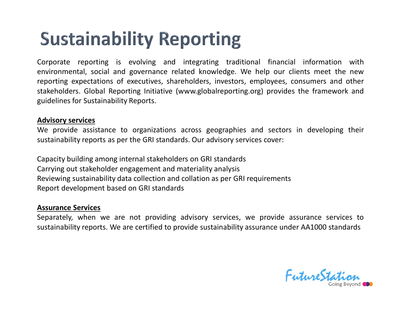**Sustainability Reporting**<br>
Corporate reporting is evolving and integrating traditional financial information with<br>
environmental, social and governance related knowledge. We help our clients meet the new<br>
reporting expect **Sustainability Reporting**<br>
Corporate reporting is evolving and integrating traditional financial information with<br>
environmental, social and governance related knowledge. We help our clients meet the new<br>
reporting expect **Sustainability Reporting**<br>
Corporate reporting is evolving and integrating traditional financial information with<br>
environmental, social and governance related knowledge. We help our clients meet the new<br>
reporting expect **Sustainability Reporting**<br>
Corporate reporting is evolving and integrating traditional financial information with<br>
environmental, social and governance related knowledge. We help our clients meet the new<br>
reporting expect **Sustainability Reporting**<br>
Corporate reporting is evolving and integrating traditional financial<br>
environmental, social and governance related knowledge. We help our cli<br>
reporting expectations of executives, shareholders **Sustainability Reporting**<br>
Corporate reporting is evolving and integrating transvironmental, social and governance related knowledge<br>
reporting expectations of executives, shareholders, invest<br>
stakeholders. Global Report **Sustainability Reporting**<br>
Corporate reporting is evolving and integrating traditional financial information with<br>
environmental, social and governance related knowledge. We help our clients meet the new<br>
reporting expect **Sustainability Reporting**<br> **Sustainability reporting**<br> **Corporate reporting is evolving and integrating traditional financial information with<br>
reporting expectations of executives, shareholders, investors, employees, con** Corporate reporting is evolving and integrating traditional financial information with<br>environmental, social and governance related knowledge. We help our clients meet the new<br>reporting expectations of executives, sharehol Corporate reporting is evolving and integrating traditional financial information with<br>environmental, social and governance related knowledge. We help our clients meet the new<br>reporting expectations of executives, sharehol Corporate reporting is evolving and integrating traditional infinited informer entirementing, social and governance related knowledge. We help our clients in<br>enerorting expectations of executives, shareholders, investors,

Capacity building among internal stakeholders on GRI standards reporting expectations of executives, shareholders, investory<br>stakeholders. Global Reporting Initiative (www.globalreporti<br>guidelines for Sustainability Reports.<br>**Advisory services**<br>We provide assistance to organizations a Stakenotouers. Grobal Reporting Initiative (www.goodineporting.org) provides the framework and<br>guidelines for Sustainability Reports.<br>Advisory services<br>sustainability reports as per the GRI standards. Our advisory services guioennes for sustainability reports.<br> **Advisory services**<br>
We provide assistance to organizations across geographies and sectors in developing their<br>
sustainability reports as per the GRI standards. Our advisory services

FutureStati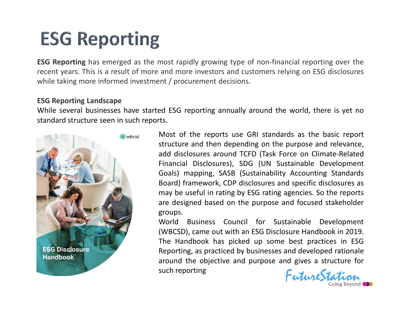**ESG Reporting**<br> **ESG Reporting**<br> **ESG Reporting** has emerged as the most rapidly growing type of non-financial reporting over the<br>
recent years. This is a result of more and more investors and customers relying on ESG dis **ESG Reporting**<br>**ESG Reporting** has emerged as the most rapidly growing type of non-financial reporting over the<br>recent years. This is a result of more and more investors and customers relying on ESG disclosures<br>while taki **ESG Reporting**<br> **ESG Reporting**<br> **ESG Reporting** has emerged as the most rapidly growing type of non-financial reporting over the<br>
recent years. This is a result of more and more investors and customers relying on ESG dis **ESG Reporting**<br> **ESG Reporting**<br> **ESG Reporting**<br> **ESG Reporting**<br>
In a result of more and more investors and cus<br>
while taking more informed investment / procurement decisions.<br> **ESG Reporting Landscape**<br>
While several b **ESG Reporting**<br> **ESG Reporting** has emerged as the most rapidly growing type of non-financial reporting over the<br>
recent years. This is a result of more and more investors and customers relying on ESG disclosures<br>
while t **ESG Reporting**<br> **ESG Reporting**<br> **ESG Reporting**<br> **ESG Reporting** has emerged as the most rapidly growing type of non-financial recent years. This is a result of more and more investors and customers relying on<br> **ESG Repo** 



Most rapidly growing type of non-financial reporting over the<br>
and more investors and customers relying on ESG disclosures<br>
and the report decisions.<br>
Example 1996 and the reports use GRI standards as the basic report<br>
str structure and more investors and customers relying on the and more investors and customers relying on ESG disclosures<br>ent / procurement decisions.<br>Entertainment depending and the world, there is yet no<br>structure and then d add disclosures around TCFD (Task Force on Climate-Related most rapidly growing type of non-financial reporting over the<br>and more investors and customers relying on ESG disclosures<br>ent / procurement decisions.<br>Entert of the reports and the world, there is yet no<br>ts.<br>Most of the re most rapidly growing type of non-financial reporting over the<br>
and more investors and customers relying on ESG disclosures<br>
ent / procurement decisions.<br>
Ed ESG reporting annually around the world, there is yet no<br>
ts.<br>
Mo most rapidly growing type of non-financial reporting over the<br>
and more investors and customers relying on ESG disclosures<br>
ent / procurement decisions.<br>
ed ESG reporting annually around the world, there is yet no<br>
ts.<br>
Mo and more investors and customers relying on ESG disclosures<br>
ent / procurement decisions.<br>
ed ESG reporting annually around the world, there is yet no<br>
ts.<br>
Most of the reports use GRI standards as the basic report<br>
struct extract / procurement decisions.<br>
ed ESG reporting annually around the world, there is yet nother that the purpose and relevance,<br>
structure and then depending on the purpose and relevance,<br>
add disclosures around TCFD (Ta groups. ed ESG reporting annually around the world, there is yet no<br>ts.<br>The Sustainable Sustainable and the reports structure and then depending on the purpose and relevance,<br>add disclosures around TCFD (Task Force on Climate-Rela ed ESG reporting annually around the world, there is yet no<br>ts.<br>Those the reports use GRI standards as the basic report<br>structure and then depending on the purpose and relevance,<br>add disclosures around TCFD (Task Force on The Handbook has picked up some best practices are provided and the phonon structure and then depending on the purpose and relevance, and disclosures around TCFD (Task Force on Climate-Related Financial Disclosures), SDG ( Most of the reports use GRI standards as the basic report<br>structure and then depending on the purpose and relevance,<br>add disclosures around TCFD (Task Force on Climate-Related<br>Financial Disclosures), SDG (UN Sustainable De MOSE OF The reports use GRI standards as the basic report<br>structure and then depending on the purpose and relevance,<br>and disclosures around TCFD (Task Force on Climate-Related<br>Financial Disclosures), SDG (UN Sustainable De structure and then depending on the purpose and related disclosures around TCFD (Task Force on Climate-Financial Disclosures), SDG (UN Sustainable Develo<br>Goals) mapping, SASB (Sustainability Accounting Sta<br>Board) framework